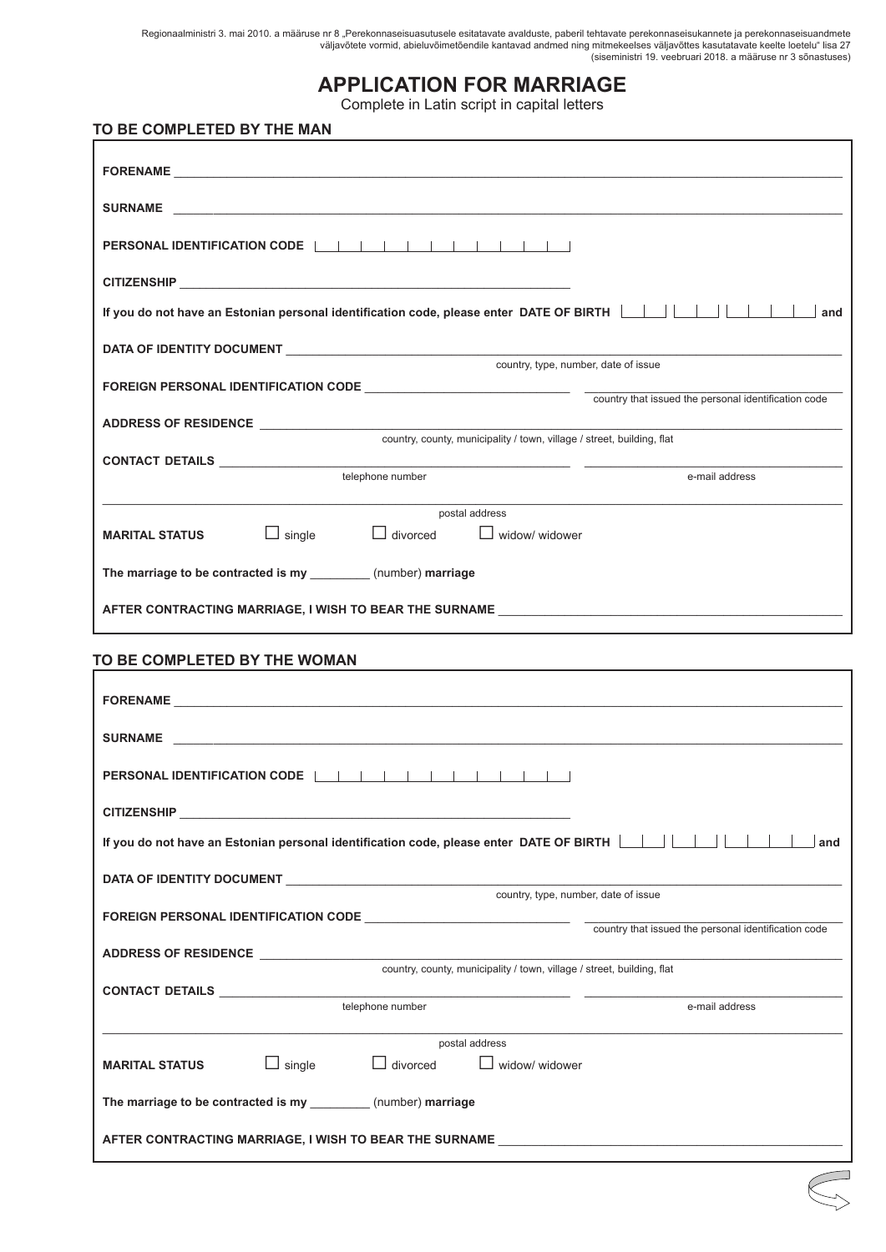Regionaalministri 3. mai 2010. a määruse nr 8 "Perekonnaseisuasutusele esitatavate avalduste, paberil tehtavate perekonnaseisukannete ja perekonnaseisuandmete väljavõtete vormid, abieluvõimetõendile kantavad andmed ning mitmekeelses väljavõttes kasutatavate keelte loetelu" lisa 27 (siseministri 19. veebruari 2018. a määruse nr 3 sõnastuses)

## **APPLICATION FOR MARRIAGE**

Complete in Latin script in capital letters

## **TO BE COMPLETED BY THE MAN**

| If you do not have an Estonian personal identification code, please enter DATE OF BIRTH Net and Net and Sand                  |  |  |  |
|-------------------------------------------------------------------------------------------------------------------------------|--|--|--|
| country, type, number, date of issue                                                                                          |  |  |  |
|                                                                                                                               |  |  |  |
|                                                                                                                               |  |  |  |
| country, county, municipality / town, village / street, building, flat                                                        |  |  |  |
| telephone number<br>e-mail address                                                                                            |  |  |  |
|                                                                                                                               |  |  |  |
| postal address<br>$\Box$ single<br>$\Box$ divorced<br><b>MARITAL STATUS</b><br>$\Box$ widow/ widower                          |  |  |  |
|                                                                                                                               |  |  |  |
| The marriage to be contracted is my _________(number) marriage                                                                |  |  |  |
| AFTER CONTRACTING MARRIAGE, I WISH TO BEAR THE SURNAME __________________________                                             |  |  |  |
|                                                                                                                               |  |  |  |
| TO BE COMPLETED BY THE WOMAN                                                                                                  |  |  |  |
| FORENAME <b>EXAMPLE AND INSTRUSTION</b>                                                                                       |  |  |  |
| SURNAME <b>SURNAME</b>                                                                                                        |  |  |  |
|                                                                                                                               |  |  |  |
| PERSONAL IDENTIFICATION CODE                                                                                                  |  |  |  |
| <b>CITIZENSHIP</b>                                                                                                            |  |  |  |
| <u>If you do not have an Estonian personal identification code, please enter DATE OF BIRTH [In Industrial Linus Li</u><br>and |  |  |  |
|                                                                                                                               |  |  |  |
| country, type, number, date of issue                                                                                          |  |  |  |
| country that issued the personal identification code                                                                          |  |  |  |
| ADDRESS OF RESIDENCE <b>ADDRESS</b> OF RESIDENCE<br>country, county, municipality / town, village / street, building, flat    |  |  |  |
| telephone number<br>e-mail address                                                                                            |  |  |  |
|                                                                                                                               |  |  |  |
| postal address<br>$\Box$ single<br>divorced<br>widow/ widower<br><b>MARITAL STATUS</b>                                        |  |  |  |
| The marriage to be contracted is my _________ (number) marriage                                                               |  |  |  |
| AFTER CONTRACTING MARRIAGE, I WISH TO BEAR THE SURNAME _________________________                                              |  |  |  |